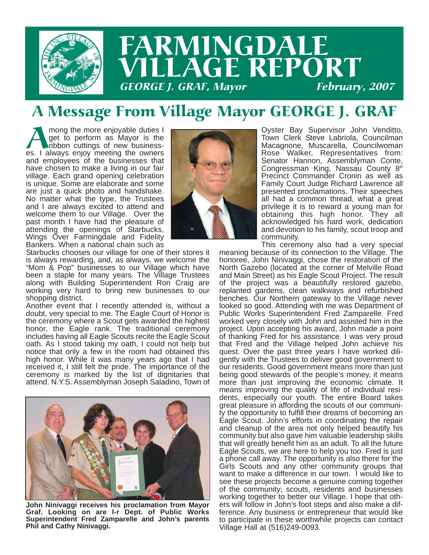

### A Message From Village Mayor GEORGE J. GRAF

Among the more enjoyable duties I<br>get to perform as Mayor is the<br>ribbon cuttings of new business-<br>es. I always enjoy meeting the owners get to perform as Mayor is the ribbon cuttings of new businessand employees of the businesses that have chosen to make a living in our fair village. Each grand opening celebration is unique. Some are elaborate and some are just a quick photo and handshake. No matter what the type, the Trustees and I are always excited to attend and welcome them to our Village. Over the past month I have had the pleasure of attending the openings of Starbucks, Wings Over Farmingdale and Fidelity Bankers. When a national chain such as



Starbucks chooses our village for one of their stores it is always rewarding, and, as always, we welcome the "Mom & Pop" businesses to our Village which have been a staple for many years. The Village Trustees along with Building Superintendent Ron Craig are working very hard to bring new businesses to our shopping district.

Another event that I recently attended is, without a doubt, very special to me. The Eagle Court of Honor is the ceremony where a Scout gets awarded the highest honor, the Eagle rank. The traditional ceremony includes having all Eagle Scouts recite the Eagle Scout oath. As I stood taking my oath, I could not help but notice that only a few in the room had obtained this high honor. While it was many years ago that I had received it, I still felt the pride. The importance of the ceremony is marked by the list of dignitaries that attend. N.Y.S. Assemblyman Joseph Saladino, Town of



**John Ninivaggi receives his proclamation from Mayor Graf. Looking on are l-r Dept. of Public Works Superintendent Fred Zamparelle and John's parents Phil and Cathy Ninivaggi.**

Oyster Bay Supervisor John Venditto, Town Clerk Steve Labriola, Councilman Macagnone, Muscarella, Councilwoman Rose Walker, Representatives from: Senator Hannon, Assemblyman Conte, Congressman King, Nassau County 8<sup>th</sup> Precinct Commander Cronin as well as Family Court Judge Richard Lawrence all presented proclamations. Their speeches all had a common thread, what a great privilege it is to reward a young man for obtaining this high honor. They all acknowledged his hard work, dedication and devotion to his family, scout troop and community.

This ceremony also had a very special meaning because of its connection to the Village. The honoree, John Ninivaggi, chose the restoration of the North Gazebo (located at the corner of Melville Road and Main Street) as his Eagle Scout Project. The result of the project was a beautifully restored gazebo, replanted gardens, clean walkways and refurbished benches. Our Northern gateway to the Village never looked so good. Attending with me was Department of Public Works Superintendent Fred Zamparelle. Fred worked very closely with John and assisted him in the project. Upon accepting his award, John made a point of thanking Fred for his assistance. I was very proud that Fred and the Village helped John achieve his quest. Over the past three years I have worked diligently with the Trustees to deliver good government to our residents. Good government means more than just being good stewards of the people's money, it means more than just improving the economic climate. It means improving the quality of life of individual residents, especially our youth. The entire Board takes great pleasure in affording the scouts of our community the opportunity to fulfill their dreams of becoming an Eagle Scout. John's efforts in coordinating the repair and cleanup of the area not only helped beautify his community but also gave him valuable leadership skills that will greatly benefit him as an adult. To all the future Eagle Scouts, we are here to help you too. Fred is just a phone call away. The opportunity is also there for the Girls Scouts and any other community groups that want to make a difference in our town. I would like to see these projects become a genuine coming together of the community; scouts, residents and businesses working together to better our Village. I hope that others will follow in John's foot steps and also make a difference. Any business or entrepreneur that would like to participate in these worthwhile projects can contact Village Hall at (516)249-0093.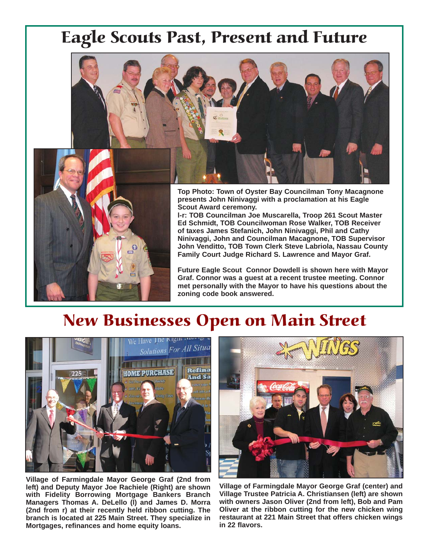## Eagle Scouts Past, Present and Future



**Top Photo: Town of Oyster Bay Councilman Tony Macagnone presents John Ninivaggi with a proclamation at his Eagle Scout Award ceremony.** 

**l-r: TOB Councilman Joe Muscarella, Troop 261 Scout Master Ed Schmidt, TOB Councilwoman Rose Walker, TOB Receiver of taxes James Stefanich, John Ninivaggi, Phil and Cathy Ninivaggi, John and Councilman Macagnone, TOB Supervisor John Venditto, TOB Town Clerk Steve Labriola, Nassau County Family Court Judge Richard S. Lawrence and Mayor Graf.**

**Future Eagle Scout Connor Dowdell is shown here with Mayor Graf. Connor was a guest at a recent trustee meeting. Connor met personally with the Mayor to have his questions about the zoning code book answered.**

## New Businesses Open on Main Street



**Village of Farmingdale Mayor George Graf (2nd from left) and Deputy Mayor Joe Rachiele (Right) are shown with Fidelity Borrowing Mortgage Bankers Branch Managers Thomas A. DeLello (l) and James D. Morra (2nd from r) at their recently held ribbon cutting. The branch is located at 225 Main Street. They specialize in Mortgages, refinances and home equity loans.**



**Village of Farmingdale Mayor George Graf (center) and Village Trustee Patricia A. Christiansen (left) are shown with owners Jason Oliver (2nd from left), Bob and Pam Oliver at the ribbon cutting for the new chicken wing restaurant at 221 Main Street that offers chicken wings in 22 flavors.**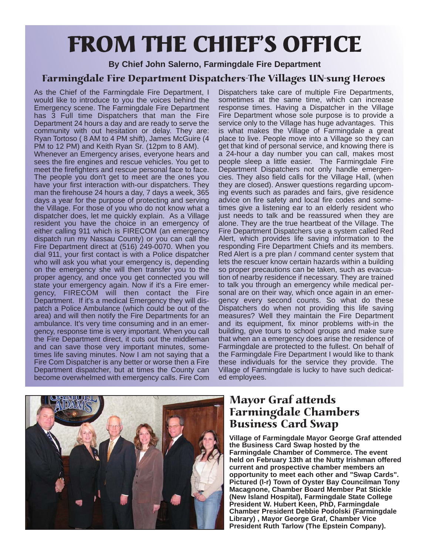# FROM THE CHIEF'S OFFICE

**By Chief John Salerno, Farmingdale Fire Department**

#### Farmingdale Fire Department Dispatchers-The Villages UN-sung Heroes

As the Chief of the Farmingdale Fire Department, I would like to introduce to you the voices behind the Emergency scene. The Farmingdale Fire Department has 3 Full time Dispatchers that man the Fire Department 24 hours a day and are ready to serve the community with out hesitation or delay. They are: Ryan Tortoso ( 8 AM to 4 PM shift), James McGuire (4 PM to 12 PM) and Keith Ryan Sr. (12pm to 8 AM).

Whenever an Emergency arises, everyone hears and sees the fire engines and rescue vehicles. You get to meet the firefighters and rescue personal face to face. The people you don't get to meet are the ones you have your first interaction with-our dispatchers. They man the firehouse 24 hours a day, 7 days a week, 365 days a year for the purpose of protecting and serving the Village. For those of you who do not know what a dispatcher does, let me quickly explain. As a Village resident you have the choice in an emergency of either calling 911 which is FIRECOM (an emergency dispatch run my Nassau County) or you can call the Fire Department direct at (516) 249-0070. When you dial 911, your first contact is with a Police dispatcher who will ask you what your emergency is, depending on the emergency she will then transfer you to the proper agency, and once you get connected you will state your emergency again. Now if it's a Fire emergency, FIRECOM will then contact the Fire Department. If it's a medical Emergency they will dispatch a Police Ambulance (which could be out of the area) and will then notify the Fire Departments for an ambulance. It's very time consuming and in an emergency, response time is very important. When you call the Fire Department direct, it cuts out the middleman and can save those very important minutes, sometimes life saving minutes. Now I am not saying that a Fire Com Dispatcher is any better or worse then a Fire Department dispatcher, but at times the County can become overwhelmed with emergency calls. Fire Com

Dispatchers take care of multiple Fire Departments, sometimes at the same time, which can increase response times. Having a Dispatcher in the Village Fire Department whose sole purpose is to provide a service only to the Village has huge advantages. This is what makes the Village of Farmingdale a great place to live. People move into a Village so they can get that kind of personal service, and knowing there is a 24-hour a day number you can call, makes most people sleep a little easier. The Farmingdale Fire Department Dispatchers not only handle emergencies. They also field calls for the Village Hall, (when they are closed). Answer questions regarding upcoming events such as parades and fairs, give residence advice on fire safety and local fire codes and sometimes give a listening ear to an elderly resident who just needs to talk and be reassured when they are alone. They are the true heartbeat of the Village. The Fire Department Dispatchers use a system called Red Alert, which provides life saving information to the responding Fire Department Chiefs and its members. Red Alert is a pre plan / command center system that lets the rescuer know certain hazards within a building so proper precautions can be taken, such as evacuation of nearby residence if necessary. They are trained to talk you through an emergency while medical personal are on their way, which once again in an emergency every second counts. So what do these Dispatchers do when not providing this life saving measures? Well they maintain the Fire Department and its equipment, fix minor problems with-in the building, give tours to school groups and make sure that when an a emergency does arise the residence of Farmingdale are protected to the fullest. On behalf of the Farmingdale Fire Department I would like to thank these individuals for the service they provide. The Village of Farmingdale is lucky to have such dedicated employees.



#### Mayor Graf attends Farmingdale Chambers Business Card Swap

**Village of Farmingdale Mayor George Graf attended the Business Card Swap hosted by the Farmingdale Chamber of Commerce. The event held on February 13th at the Nutty Irishman offered current and prospective chamber members an opportunity to meet each other and "Swap Cards". Pictured (l-r) Town of Oyster Bay Councilman Tony Macagnone, Chamber Board Member Pat Stickle (New Island Hospital), Farmingdale State College President W. Hubert Keen, PhD, Farmingdale Chamber President Debbie Podolski (Farmingdale Library) , Mayor George Graf, Chamber Vice President Ruth Tarlow (The Epstein Company).**